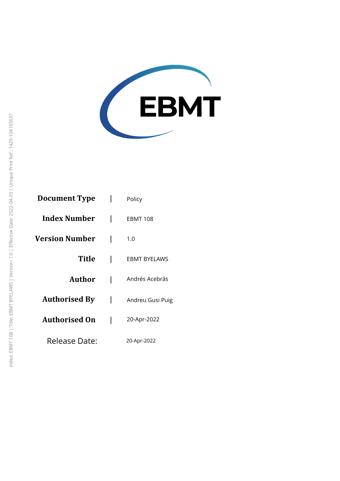

| <b>Document Type</b>  | Policy              |
|-----------------------|---------------------|
| <b>Index Number</b>   | EBMT 108            |
| <b>Version Number</b> | 1.0                 |
| Title                 | <b>EBMT BYELAWS</b> |
| Author                | Andrés Acebrás      |
| <b>Authorised By</b>  | Andreu Gusi Puig    |
| <b>Authorised On</b>  | 20-Apr-2022         |
| Release Date:         | 20-Apr-2022         |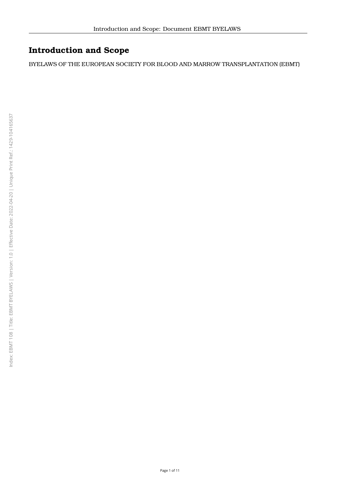# **Introduction and Scope**

BYELAWS OF THE EUROPEAN SOCIETY FOR BLOOD AND MARROW TRANSPLANTATION (EBMT)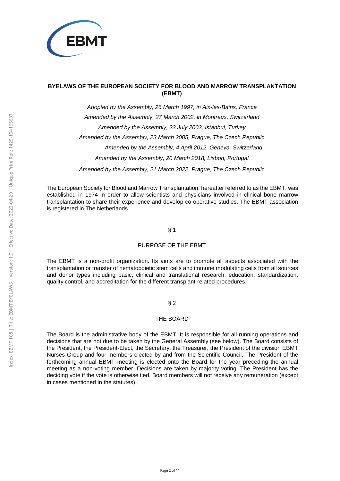

## **BYELAWS OF THE EUROPEAN SOCIETY FOR BLOOD AND MARROW TRANSPLANTATION (EBMT)**

Adopted by the Assembly, 26 March 1997, in Aix-les-Bains, France Amended by the Assembly, 27 March 2002, in Montreux, Switzerland Amended by the Assembly, 23 July 2003, Istanbul, Turkey Amended by the Assembly, 23 March 2005, Prague, The Czech Republic Amended by the Assembly, 4 April 2012, Geneva, Switzerland Amended by the Assembly, 20 March 2018, Lisbon, Portugal Amended by the Assembly, 21 March 2022, Prague, The Czech Republic

The European Society for Blood and Marrow Transplantation, hereafter referred to as the EBMT, was established in 1974 in order to allow scientists and physicians involved in clinical bone marrow transplantation to share their experience and develop co-operative studies. The EBMT association is registered in The Netherlands.

## § 1

#### PURPOSE OF THE EBMT

The EBMT is a non-profit organization. Its aims are to promote all aspects associated with the transplantation or transfer of hematopoietic stem cells and immune modulating cells from all sources and donor types including basic, clinical and translational research, education, standardization, quality control, and accreditation for the different transplant-related procedures.

## § 2

#### THE BOARD

The Board is the administrative body of the EBMT. It is responsible for all running operations and decisions that are not due to be taken by the General Assembly (see below). The Board consists of the President, the President-Elect, the Secretary, the Treasurer, the President of the division EBMT Nurses Group and four members elected by and from the Scientific Council. The President of the forthcoming annual EBMT meeting is elected onto the Board for the year preceding the annual meeting as a non-voting member. Decisions are taken by majority voting. The President has the deciding vote if the vote is otherwise tied. Board members will not receive any remuneration (except in cases mentioned in the statutes).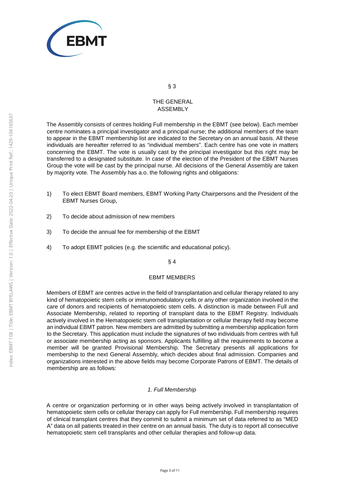

## THE GENERAL ASSEMBLY

The Assembly consists of centres holding Full membership in the EBMT (see below). Each member centre nominates a principal investigator and a principal nurse; the additional members of the team to appear in the EBMT membership list are indicated to the Secretary on an annual basis. All these individuals are hereafter referred to as "individual members". Each centre has one vote in matters concerning the EBMT. The vote is usually cast by the principal investigator but this right may be transferred to a designated substitute. In case of the election of the President of the EBMT Nurses Group the vote will be cast by the principal nurse. All decisions of the General Assembly are taken by majority vote. The Assembly has a.o. the following rights and obligations:

- 1) To elect EBMT Board members, EBMT Working Party Chairpersons and the President of the EBMT Nurses Group,
- 2) To decide about admission of new members
- 3) To decide the annual fee for membership of the EBMT
- 4) To adopt EBMT policies (e.g. the scientific and educational policy).

### § 4

#### EBMT MEMBERS

Members of EBMT are centres active in the field of transplantation and cellular therapy related to any kind of hematopoietic stem cells or immunomodulatory cells or any other organization involved in the care of donors and recipients of hematopoietic stem cells. A distinction is made between Full and Associate Membership, related to reporting of transplant data to the EBMT Registry. Individuals actively involved in the Hematopoietic stem cell transplantation or cellular therapy field may become an individual EBMT patron. New members are admitted by submitting a membership application form to the Secretary. This application must include the signatures of two individuals from centres with full or associate membership acting as sponsors. Applicants fulfilling all the requirements to become a member will be granted Provisional Membership. The Secretary presents all applications for membership to the next General Assembly, which decides about final admission. Companies and organizations interested in the above fields may become Corporate Patrons of EBMT. The details of membership are as follows:

#### 1. Full Membership

A centre or organization performing or in other ways being actively involved in transplantation of hematopoietic stem cells or cellular therapy can apply for Full membership. Full membership requires of clinical transplant centres that they commit to submit a minimum set of data referred to as "MED A" data on all patients treated in their centre on an annual basis. The duty is to report all consecutive hematopoietic stem cell transplants and other cellular therapies and follow-up data.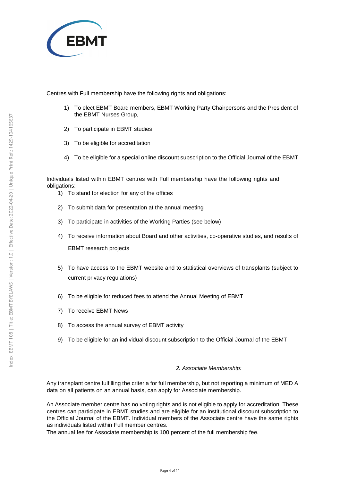

Centres with Full membership have the following rights and obligations:

- 1) To elect EBMT Board members, EBMT Working Party Chairpersons and the President of the EBMT Nurses Group,
- 2) To participate in EBMT studies
- 3) To be eligible for accreditation
- 4) To be eligible for a special online discount subscription to the Official Journal of the EBMT

Individuals listed within EBMT centres with Full membership have the following rights and obligations:

- 1) To stand for election for any of the offices
- 2) To submit data for presentation at the annual meeting
- 3) To participate in activities of the Working Parties (see below)
- 4) To receive information about Board and other activities, co-operative studies, and results of EBMT research projects
- 5) To have access to the EBMT website and to statistical overviews of transplants (subject to current privacy regulations)
- 6) To be eligible for reduced fees to attend the Annual Meeting of EBMT
- 7) To receive EBMT News
- 8) To access the annual survey of EBMT activity
- 9) To be eligible for an individual discount subscription to the Official Journal of the EBMT

#### 2. Associate Membership:

Any transplant centre fulfilling the criteria for full membership, but not reporting a minimum of MED A data on all patients on an annual basis, can apply for Associate membership.

An Associate member centre has no voting rights and is not eligible to apply for accreditation. These centres can participate in EBMT studies and are eligible for an institutional discount subscription to the Official Journal of the EBMT. Individual members of the Associate centre have the same rights as individuals listed within Full member centres.

The annual fee for Associate membership is 100 percent of the full membership fee.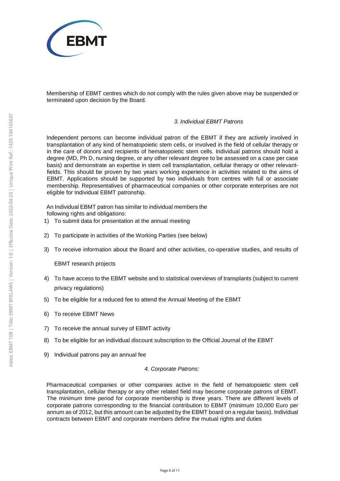

Membership of EBMT centres which do not comply with the rules given above may be suspended or terminated upon decision by the Board.

### 3. Individual EBMT Patrons

Independent persons can become individual patron of the EBMT if they are actively involved in transplantation of any kind of hematopoietic stem cells, or involved in the field of cellular therapy or in the care of donors and recipients of hematopoietic stem cells. Individual patrons should hold a degree (MD, Ph D, nursing degree, or any other relevant degree to be assessed on a case per case basis) and demonstrate an expertise in stem cell transplantation, cellular therapy or other relevantfields. This should be proven by two years working experience in activities related to the aims of EBMT. Applications should be supported by two individuals from centres with full or associate membership. Representatives of pharmaceutical companies or other corporate enterprises are not eligible for Individual EBMT patronship.

An Individual EBMT patron has similar to individual members the following rights and obligations:

- 1) To submit data for presentation at the annual meeting
- 2) To participate in activities of the Working Parties (see below)
- 3) To receive information about the Board and other activities, co-operative studies, and results of

EBMT research projects

- 4) To have access to the EBMT website and to statistical overviews of transplants (subject to current privacy regulations)
- 5) To be eligible for a reduced fee to attend the Annual Meeting of the EBMT
- 6) To receive EBMT News
- 7) To receive the annual survey of EBMT activity
- 8) To be eligible for an individual discount subscription to the Official Journal of the EBMT
- 9) Individual patrons pay an annual fee

#### 4. Corporate Patrons:

Pharmaceutical companies or other companies active in the field of hematopoietic stem cell transplantation, cellular therapy or any other related field may become corporate patrons of EBMT. The minimum time period for corporate membership is three years. There are different levels of corporate patrons corresponding to the financial contribution to EBMT (minimum 10,000 Euro per annum as of 2012, but this amount can be adjusted by the EBMT board on a regular basis). Individual contracts between EBMT and corporate members define the mutual rights and duties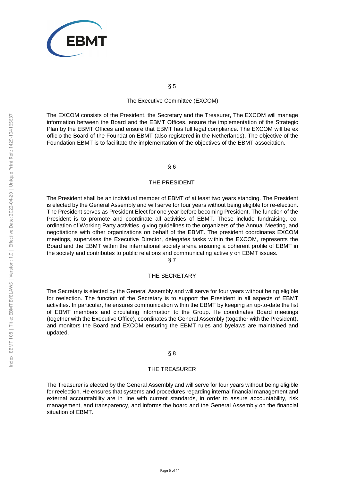

#### The Executive Committee (EXCOM)

The EXCOM consists of the President, the Secretary and the Treasurer, The EXCOM will manage information between the Board and the EBMT Offices, ensure the implementation of the Strategic Plan by the EBMT Offices and ensure that EBMT has full legal compliance. The EXCOM will be ex officio the Board of the Foundation EBMT (also registered in the Netherlands). The objective of the Foundation EBMT is to facilitate the implementation of the objectives of the EBMT association.

### § 6

#### THE PRESIDENT

The President shall be an individual member of EBMT of at least two years standing. The President is elected by the General Assembly and will serve for four years without being eligible for re-election. The President serves as President Elect for one year before becoming President. The function of the President is to promote and coordinate all activities of EBMT. These include fundraising, coordination of Working Party activities, giving guidelines to the organizers of the Annual Meeting, and negotiations with other organizations on behalf of the EBMT. The president coordinates EXCOM meetings, supervises the Executive Director, delegates tasks within the EXCOM, represents the Board and the EBMT within the international society arena ensuring a coherent profile of EBMT in the society and contributes to public relations and communicating actively on EBMT issues.

## § 7

#### THE SECRETARY

The Secretary is elected by the General Assembly and will serve for four years without being eligible for reelection. The function of the Secretary is to support the President in all aspects of EBMT activities. In particular, he ensures communication within the EBMT by keeping an up-to-date the list of EBMT members and circulating information to the Group. He coordinates Board meetings (together with the Executive Office), coordinates the General Assembly (together with the President), and monitors the Board and EXCOM ensuring the EBMT rules and byelaws are maintained and updated.

#### § 8

#### THE TREASURER

The Treasurer is elected by the General Assembly and will serve for four years without being eligible for reelection. He ensures that systems and procedures regarding internal financial management and external accountability are in line with current standards, in order to assure accountability, risk management, and transparency, and informs the board and the General Assembly on the financial situation of EBMT.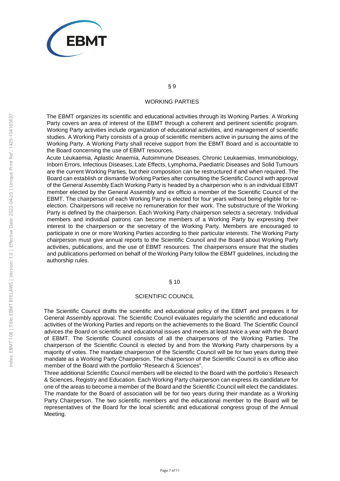

#### WORKING PARTIES

The EBMT organizes its scientific and educational activities through its Working Parties. A Working Party covers an area of interest of the EBMT through a coherent and pertinent scientific program. Working Party activities include organization of educational activities, and management of scientific studies. A Working Party consists of a group of scientific members active in pursuing the aims of the Working Party. A Working Party shall receive support from the EBMT Board and is accountable to the Board concerning the use of EBMT resources.

Acute Leukaemia, Aplastic Anaemia, Autoimmune Diseases, Chronic Leukaemias, Immunobiology, Inborn Errors, Infectious Diseases, Late Effects, Lymphoma, Paediatric Diseases and Solid Tumours are the current Working Parties, but their composition can be restructured if and when required. The Board can establish or dismantle Working Parties after consulting the Scientific Council with approval of the General Assembly Each Working Party is headed by a chairperson who is an individual EBMT member elected by the General Assembly and ex officio a member of the Scientific Council of the EBMT. The chairperson of each Working Party is elected for four years without being eligible for reelection. Chairpersons will receive no remuneration for their work. The substructure of the Working Party is defined by the chairperson. Each Working Party chairperson selects a secretary. Individual members and individual patrons can become members of a Working Party by expressing their interest to the chairperson or the secretary of the Working Party. Members are encouraged to participate in one or more Working Parties according to their particular interests. The Working Party chairperson must give annual reports to the Scientific Council and the Board about Working Party activities, publications, and the use of EBMT resources. The chairpersons ensure that the studies and publications performed on behalf of the Working Party follow the EBMT guidelines, including the authorship rules.

#### § 10

#### SCIENTIFIC COUNCIL

The Scientific Council drafts the scientific and educational policy of the EBMT and prepares it for General Assembly approval. The Scientific Council evaluates regularly the scientific and educational activities of the Working Parties and reports on the achievements to the Board. The Scientific Council advices the Board on scientific and educational issues and meets at least twice a year with the Board of EBMT. The Scientific Council consists of all the chairpersons of the Working Parties. The chairperson of the Scientific Council is elected by and from the Working Party chairpersons by a majority of votes. The mandate chairperson of the Scientific Council will be for two years during their mandate as a Working Party Chairperson. The chairperson of the Scientific Council is ex officio also member of the Board with the portfolio "Research & Sciences".

Three additional Scientific Council members will be elected to the Board with the portfolio's Research & Sciences, Registry and Education. Each Working Party chairperson can express its candidature for one of the areas to become a member of the Board and the Scientific Council will elect the candidates. The mandate for the Board of association will be for two years during their mandate as a Working Party Chairperson. The two scientific members and the educational member to the Board will be representatives of the Board for the local scientific and educational congress group of the Annual Meeting.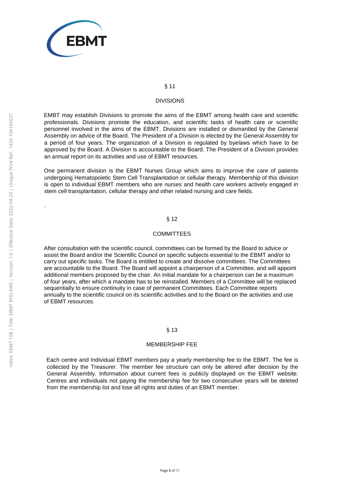

#### DIVISIONS

EMBT may establish Divisions to promote the aims of the EBMT among health care and scientific professionals. Divisions promote the education, and scientific tasks of health care or scientific personnel involved in the aims of the EBMT. Divisions are installed or dismantled by the General Assembly on advice of the Board. The President of a Division is elected by the General Assembly for a period of four years. The organization of a Division is regulated by byelaws which have to be approved by the Board. A Division is accountable to the Board. The President of a Division provides an annual report on its activities and use of EBMT resources.

One permanent division is the EBMT Nurses Group which aims to improve the care of patients undergoing Hematopoietic Stem Cell Transplantation or cellular therapy. Membership of this division is open to individual EBMT members who are nurses and health care workers actively engaged in stem cell transplantation, cellular therapy and other related nursing and care fields.

#### § 12

#### **COMMITTEES**

After consultation with the scientific council, committees can be formed by the Board to advice or assist the Board and/or the Scientific Council on specific subjects essential to the EBMT and/or to carry out specific tasks. The Board is entitled to create and dissolve committees. The Committees are accountable to the Board. The Board will appoint a chairperson of a Committee, and will appoint additional members proposed by the chair. An initial mandate for a chairperson can be a maximum of four years, after which a mandate has to be reinstalled. Members of a Committee will be replaced sequentially to ensure continuity in case of permanent Committees. Each Committee reports annually to the scientific council on its scientific activities and to the Board on the activities and use of EBMT resources.

#### § 13

#### MEMBERSHIP FEE

Each centre and Individual EBMT members pay a yearly membership fee to the EBMT. The fee is collected by the Treasurer. The member fee structure can only be altered after decision by the General Assembly. Information about current fees is publicly displayed on the EBMT website. Centres and individuals not paying the membership fee for two consecutive years will be deleted from the membership list and lose all rights and duties of an EBMT member.

.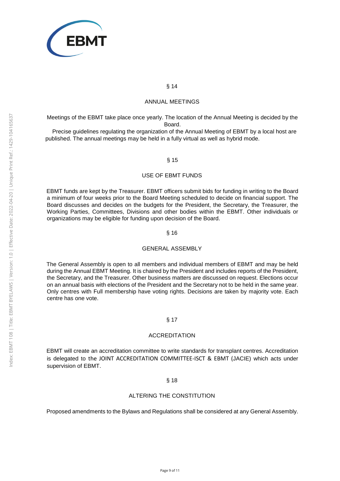

### ANNUAL MEETINGS

Meetings of the EBMT take place once yearly. The location of the Annual Meeting is decided by the Board.

Precise guidelines regulating the organization of the Annual Meeting of EBMT by a local host are published. The annual meetings may be held in a fully virtual as well as hybrid mode.

### § 15

#### USE OF EBMT FUNDS

EBMT funds are kept by the Treasurer. EBMT officers submit bids for funding in writing to the Board a minimum of four weeks prior to the Board Meeting scheduled to decide on financial support. The Board discusses and decides on the budgets for the President, the Secretary, the Treasurer, the Working Parties, Committees, Divisions and other bodies within the EBMT. Other individuals or organizations may be eligible for funding upon decision of the Board.

### § 16

#### GENERAL ASSEMBLY

The General Assembly is open to all members and individual members of EBMT and may be held during the Annual EBMT Meeting. It is chaired by the President and includes reports of the President, the Secretary, and the Treasurer. Other business matters are discussed on request. Elections occur on an annual basis with elections of the President and the Secretary not to be held in the same year. Only centres with Full membership have voting rights. Decisions are taken by majority vote. Each centre has one vote.

#### § 17

#### **ACCREDITATION**

EBMT will create an accreditation committee to write standards for transplant centres. Accreditation is delegated to the JOINT ACCREDITATION COMMITTEE-ISCT & EBMT (JACIE) which acts under supervision of EBMT.

#### § 18

#### ALTERING THE CONSTITUTION

Proposed amendments to the Bylaws and Regulations shall be considered at any General Assembly.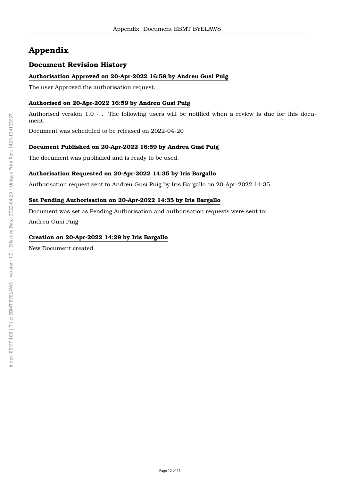# **Appendix**

## **Document Revision History**

## **Authorisation Approved on 20-Apr-2022 16:59 by Andreu Gusi Puig**

The user Approved the authorisation request.

## **Authorised on 20-Apr-2022 16:59 by Andreu Gusi Puig**

Authorised version 1.0 - . The following users will be notified when a review is due for this document:

Document was scheduled to be released on 2022-04-20

## **Document Published on 20-Apr-2022 16:59 by Andreu Gusi Puig**

The document was published and is ready to be used.

## **Authorisation Requested on 20-Apr-2022 14:35 by Iris Bargallo**

Authorisation request sent to Andreu Gusi Puig by Iris Bargallo on 20-Apr-2022 14:35.

## **Set Pending Authorisation on 20-Apr-2022 14:35 by Iris Bargallo**

Document was set as Pending Authorisation and authorisation requests were sent to: Andreu Gusi Puig

## **Creation on 20-Apr-2022 14:29 by Iris Bargallo**

New Document created